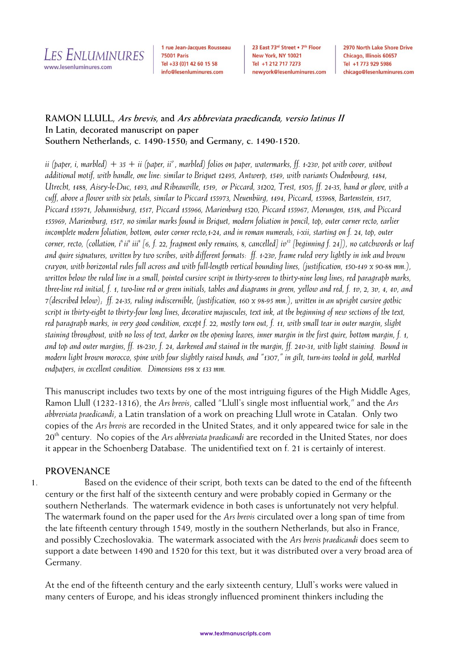LES ENLUMINURES www.lesenluminures.com

1 rue Jean-Jacques Rousseau **75001 Paris** Tel +33 (0)1 42 60 15 58 info@lesenluminures.com

23 East 73rd Street . 7th Floor New York, NY 10021 Tel +1 212 717 7273 newyork@lesenluminures.com 2970 North Lake Shore Drive Chicago, Illinois 60657 Tel +1 773 929 5986 chicago@lesenluminures.com

## **RAMON LLULL, Ars brevis, and Ars abbreviata praedicanda, versio latinus II In Latin, decorated manuscript on paper Southern Netherlands, c. 1490-1550; and Germany, c. 1490-1520.**

*ii* (paper, *i*, marbled) + 35 + *ii* (paper, *ii*<sup>*v*</sup>, marbled) folios on paper, watermarks, ff. 1-23v, pot with cover, without *additional motif, with handle, one line: similar to Briquet 12495, Antwerp, 1549, with variants Oudenbourg, 1484, Utrecht, 1488, Aisey-le-Duc, 1493, and Ribeauville, 1519, or Piccard, 31202, Trest, 1505; ff. 24-35, hand or glove, with a cuff, above a flower with six petals, similar to Piccard 155973, Neuenbürg, 1494, Piccard, 155968, Bartenstein, 1517, Piccard 155971, Johannisburg, 1517, Piccard 155966, Marienburg 1520, Piccard 155967, Morungen, 1518, and Piccard 155969, Marienburg, 1517, no similar marks found in Briquet, modern foliation in pencil, top, outer corner recto, earlier incomplete modern foliation, bottom, outer corner recto,1-24, and in roman numerals, i-xii, starting on f. 24, top, outer corner, recto, (collation, i<sup>8</sup>ii<sup>8</sup> iii8 [6, f. 22, fragment only remains, 8, cancelled] iv<sup>12</sup> [beginning f. 24]), no catchwords or leaf and quire signatures, written by two scribes, with different formats: ff. 1-23v, frame ruled very lightly in ink and brown crayon, with horizontal rules full across and with full-length vertical bounding lines, (justification, 150-149 x 90-88 mm.), written below the ruled line in a small, pointed cursive script in thirty-seven to thirty-nine long lines; red paragraph marks, three-line red initial, f. 1, two-line red or green initials, tables and diagrams in green, yellow and red, f. 1v, 2, 3v, 4, 4v, and 7(described below); ff. 24-35, ruling indiscernible, (justification, 160 x 98-95 mm.), written in an upright cursive gothic script in thirty-eight to thirty-four long lines, decorative majuscules, text ink, at the beginning of new sections of the text, red paragraph marks, in very good condition, except f. 22, mostly torn out, f. 11, with small tear in outer margin, slight staining throughout, with no loss of text, darker on the opening leaves, inner margin in the first quire, bottom margin, f. 1, and top and outer margins, ff. 18-23v, f. 24, darkened and stained in the margin, ff. 24v-31, with light staining. Bound in modern light brown morocco, spine with four slightly raised bands, and "1307," in gilt, turn-ins tooled in gold, marbled endpapers, in excellent condition.**Dimensions 198 x 133 mm.*

This manuscript includes two texts by one of the most intriguing figures of the High Middle Ages, Ramon Llull (1232-1316), the *Ars brevis*, called "Llull's single most influential work," and the *Ars abbreviata praedicandi*, a Latin translation of a work on preaching Llull wrote in Catalan. Only two copies of the *Ars brevis* are recorded in the United States, and it only appeared twice for sale in the 20th century. No copies of the *Ars abbreviata praedicandi* are recorded in the United States, nor does it appear in the Schoenberg Database. The unidentified text on f. 21 is certainly of interest.

# **PROVENANCE**

1. Based on the evidence of their script, both texts can be dated to the end of the fifteenth century or the first half of the sixteenth century and were probably copied in Germany or the southern Netherlands. The watermark evidence in both cases is unfortunately not very helpful. The watermark found on the paper used for the *Ars brevis* circulated over a long span of time from the late fifteenth century through 1549, mostly in the southern Netherlands, but also in France, and possibly Czechoslovakia. The watermark associated with the *Ars brevis praedicandi* does seem to support a date between 1490 and 1520 for this text, but it was distributed over a very broad area of Germany.

At the end of the fifteenth century and the early sixteenth century, Llull's works were valued in many centers of Europe, and his ideas strongly influenced prominent thinkers including the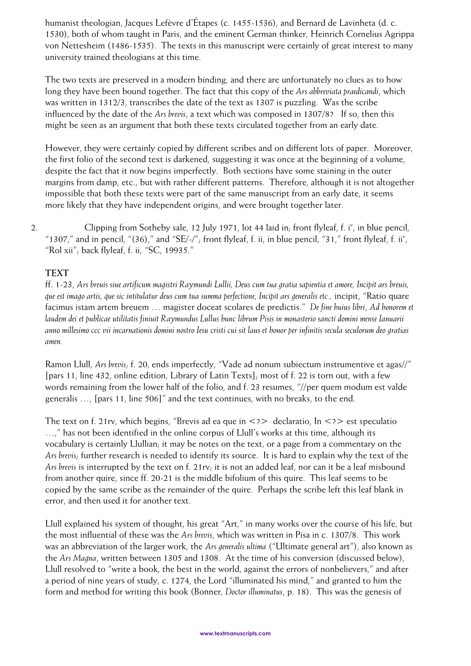humanist theologian, Jacques Lefèvre d'Étapes (c. 1455-1536), and Bernard de Lavinheta (d. c. 1530), both of whom taught in Paris, and the eminent German thinker, Heinrich Cornelius Agrippa von Nettesheim (1486-1535). The texts in this manuscript were certainly of great interest to many university trained theologians at this time.

The two texts are preserved in a modern binding, and there are unfortunately no clues as to how long they have been bound together. The fact that this copy of the *Ars abbreviata praedicandi*, which was written in 1312/3, transcribes the date of the text as 1307 is puzzling. Was the scribe influenced by the date of the *Ars brevis*, a text which was composed in 1307/8? If so, then this might be seen as an argument that both these texts circulated together from an early date.

However, they were certainly copied by different scribes and on different lots of paper. Moreover, the first folio of the second text is darkened, suggesting it was once at the beginning of a volume, despite the fact that it now begins imperfectly. Both sections have some staining in the outer margins from damp, etc., but with rather different patterns. Therefore, although it is not altogether impossible that both these texts were part of the same manuscript from an early date, it seems more likely that they have independent origins, and were brought together later.

2. Clipping from Sotheby sale, 12 July 1971, lot 44 laid in; front flyleaf, f. i<sup>v</sup>, in blue pencil, "1307," and in pencil, "(36)," and "SE/-/"; front flyleaf, f. ii, in blue pencil, "31," front flyleaf, f. ii", "Rol xii"; back flyleaf, f. ii, "SC, 19935."

# **TEXT**

ff. 1-23, *Ars breuis siue artificum magistri Raymundi Lullii, Deus cum tua gratia sapientia et amore, Incipit ars breuis, que est imago artis, que sic intitulatur deus cum tua summa perfectione, Incipit ars generalis etc.,* incipit, "Ratio quare facimus istam artem breuem … magister doceat scolares de predictis." *De fine huius libri*, *Ad honorem et laudem dei et publicae utilitatis finiuit Raymundus Lullus hunc librum Pisis in monasterio sancti domini mense Ianuarii anno millesimo ccc vii incarnationis domini nostro Iesu cristi cui sit laus et honor per infinitis secula seculorum deo gratias amen.*

Ramon Llull, *Ars brevis*; f. 20, ends imperfectly, "Vade ad nonum subiectum instrumentive et agas//" [pars 11, line 432, online edition, Library of Latin Texts]; most of f. 22 is torn out, with a few words remaining from the lower half of the folio, and f. 23 resumes, "//per quem modum est valde generalis …, [pars 11, line 506]" and the text continues, with no breaks, to the end.

The text on f. 21rv, which begins, "Brevis ad ea que in  $\langle 2 \rangle$  declaratio, In  $\langle 2 \rangle$  est speculatio …," has not been identified in the online corpus of Llull's works at this time, although its vocabulary is certainly Llullian; it may be notes on the text, or a page from a commentary on the *Ars brevis*; further research is needed to identify its source. It is hard to explain why the text of the *Ars brevis* is interrupted by the text on f. 21rv; it is not an added leaf, nor can it be a leaf misbound from another quire, since ff. 20-21 is the middle bifolium of this quire. This leaf seems to be copied by the same scribe as the remainder of the quire. Perhaps the scribe left this leaf blank in error, and then used it for another text.

Llull explained his system of thought, his great "Art," in many works over the course of his life, but the most influential of these was the *Ars brevis*, which was written in Pisa in c. 1307/8. This work was an abbreviation of the larger work, the *Ars generalis ultima* ("Ultimate general art"), also known as the *Ars Magna*, written between 1305 and 1308. At the time of his conversion (discussed below), Llull resolved to "write a book, the best in the world, against the errors of nonbelievers," and after a period of nine years of study, c. 1274, the Lord "illuminated his mind," and granted to him the form and method for writing this book (Bonner, *Doctor illuminatus*, p. 18). This was the genesis of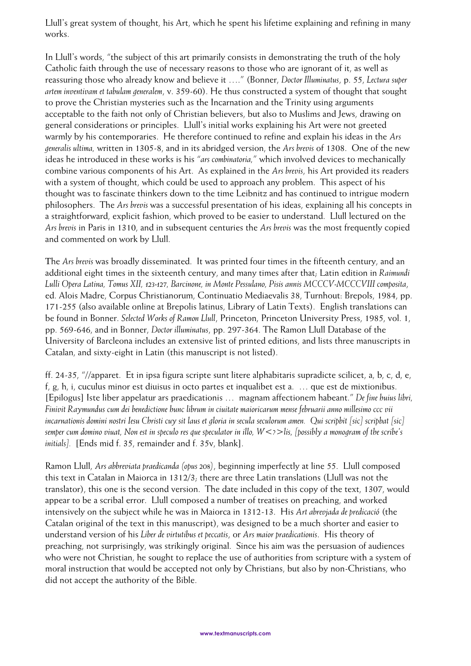Llull's great system of thought, his Art, which he spent his lifetime explaining and refining in many works.

In Llull's words, "the subject of this art primarily consists in demonstrating the truth of the holy Catholic faith through the use of necessary reasons to those who are ignorant of it, as well as reassuring those who already know and believe it …." (Bonner, *Doctor Illuminatus*, p. 55, *Lectura super artem inventivam et tabulam generalem*, v. 359-60). He thus constructed a system of thought that sought to prove the Christian mysteries such as the Incarnation and the Trinity using arguments acceptable to the faith not only of Christian believers, but also to Muslims and Jews, drawing on general considerations or principles. Llull's initial works explaining his Art were not greeted warmly by his contemporaries. He therefore continued to refine and explain his ideas in the *Ars generalis ultima,* written in 1305-8, and in its abridged version, the *Ars brevis* of 1308. One of the new ideas he introduced in these works is his "*ars combinatoria,*" which involved devices to mechanically combine various components of his Art. As explained in the *Ars brevis*, his Art provided its readers with a system of thought, which could be used to approach any problem. This aspect of his thought was to fascinate thinkers down to the time Leibnitz and has continued to intrigue modern philosophers. The *Ars brevis* was a successful presentation of his ideas, explaining all his concepts in a straightforward, explicit fashion, which proved to be easier to understand. Llull lectured on the *Ars brevis* in Paris in 1310, and in subsequent centuries the *Ars brevis* was the most frequently copied and commented on work by Llull.

The *Ars brevis* was broadly disseminated. It was printed four times in the fifteenth century, and an additional eight times in the sixteenth century, and many times after that; Latin edition in *Raimundi Lulli Opera Latina, Tomus XII, 123-127, Barcinone, in Monte Pessulano, Pisis annis MCCCV-MCCCVIII composita*, ed. Alois Madre, Corpus Christianorum, Continuatio Mediaevalis 38, Turnhout: Brepols, 1984, pp. 171-255 (also available online at Brepolis latinus, Library of Latin Texts). English translations can be found in Bonner. *Selected Works of Ramon Llull*, Princeton, Princeton University Press, 1985, vol. 1, pp. 569-646, and in Bonner, *Doctor illuminatus*, pp. 297-364. The Ramon Llull Database of the University of Barcleona includes an extensive list of printed editions, and lists three manuscripts in Catalan, and sixty-eight in Latin (this manuscript is not listed).

ff. 24-35, "//apparet. Et in ipsa figura scripte sunt litere alphabitaris supradicte scilicet, a, b, c, d, e, f, g, h, i, cuculus minor est diuisus in octo partes et inqualibet est a. … que est de mixtionibus. [Epilogus] Iste liber appelatur ars praedicationis … magnam affectionem habeant." *De fine huius libri, Finivit Raymundus cum dei benedictione hunc librum in ciuitate maioricarum mense februarii anno millesimo ccc vii incarnationis domini nostri Iesu Christi cuy sit laus et gloria in secula seculorum amen. Qui scripbit [sic] scripbat [sic] semper cum domino viuat, Non est in speculo res que speculator in illo, W<?>lis, [possibly a monogram of the scribe's initials].* [Ends mid f. 35, remainder and f. 35v, blank].

Ramon Llull, *Ars abbreviata praedicanda (opus 208)*, beginning imperfectly at line 55. Llull composed this text in Catalan in Maiorca in 1312/3; there are three Latin translations (Llull was not the translator), this one is the second version. The date included in this copy of the text, 1307, would appear to be a scribal error. Llull composed a number of treatises on preaching, and worked intensively on the subject while he was in Maiorca in 1312-13. His *Art abrevjada de predicació* (the Catalan original of the text in this manuscript), was designed to be a much shorter and easier to understand version of his *Liber de virtutibus et peccatis*, or *Ars maior praedicationis*. His theory of preaching, not surprisingly, was strikingly original. Since his aim was the persuasion of audiences who were not Christian, he sought to replace the use of authorities from scripture with a system of moral instruction that would be accepted not only by Christians, but also by non-Christians, who did not accept the authority of the Bible.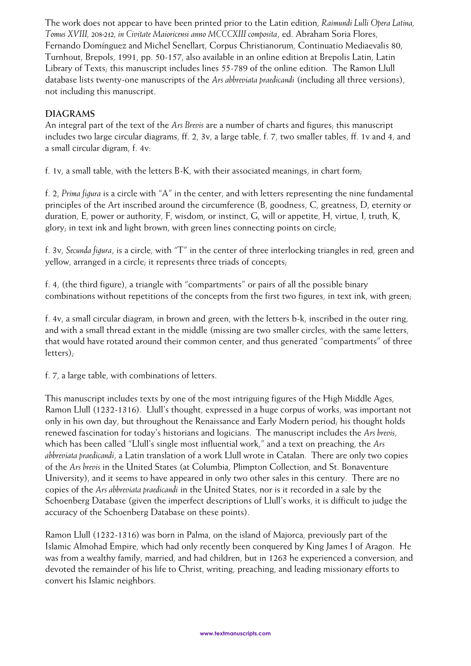The work does not appear to have been printed prior to the Latin edition, *Raimundi Lulli Opera Latina, Tomus XVIII, 208-212, in Civitate Maioricensi anno MCCCXIII composita*, ed. Abraham Soria Flores, Fernando Domínguez and Michel Senellart, Corpus Christianorum, Continuatio Mediaevalis 80, Turnhout, Brepols, 1991, pp. 50-157, also available in an online edition at Brepolis Latin, Latin Library of Texts; this manuscript includes lines 55-789 of the online edition. The Ramon Llull database lists twenty-one manuscripts of the *Ars abbreviata praedicandi* (including all three versions), not including this manuscript.

# **DIAGRAMS**

An integral part of the text of the *Ars Brevis* are a number of charts and figures; this manuscript includes two large circular diagrams, ff. 2, 3v, a large table, f. 7, two smaller tables, ff. 1v and 4, and a small circular digram, f. 4v:

f. 1v, a small table, with the letters  $B-K$ , with their associated meanings, in chart form;

f. 2, *Prima figura* is a circle with "A" in the center, and with letters representing the nine fundamental principles of the Art inscribed around the circumference (B, goodness, C, greatness, D, eternity or duration, E, power or authority, F, wisdom, or instinct, G, will or appetite, H, virtue, I, truth, K, glory; in text ink and light brown, with green lines connecting points on circle;

f. 3v, *Secunda figura*, is a circle, with "T" in the center of three interlocking triangles in red, green and yellow, arranged in a circle; it represents three triads of concepts;

f. 4, (the third figure), a triangle with "compartments" or pairs of all the possible binary combinations without repetitions of the concepts from the first two figures, in text ink, with green;

f. 4v, a small circular diagram, in brown and green, with the letters b-k, inscribed in the outer ring, and with a small thread extant in the middle (missing are two smaller circles, with the same letters, that would have rotated around their common center, and thus generated "compartments" of three letters);

f. 7, a large table, with combinations of letters.

This manuscript includes texts by one of the most intriguing figures of the High Middle Ages, Ramon Llull (1232-1316). Llull's thought, expressed in a huge corpus of works, was important not only in his own day, but throughout the Renaissance and Early Modern period; his thought holds renewed fascination for today's historians and logicians. The manuscript includes the *Ars brevis*, which has been called "Llull's single most influential work," and a text on preaching, the *Ars abbreviata praedicandi*, a Latin translation of a work Llull wrote in Catalan. There are only two copies of the *Ars brevis* in the United States (at Columbia, Plimpton Collection, and St. Bonaventure University), and it seems to have appeared in only two other sales in this century. There are no copies of the *Ars abbreviata praedicandi* in the United States, nor is it recorded in a sale by the Schoenberg Database (given the imperfect descriptions of Llull's works, it is difficult to judge the accuracy of the Schoenberg Database on these points).

Ramon Llull (1232-1316) was born in Palma, on the island of Majorca, previously part of the Islamic Almohad Empire, which had only recently been conquered by King James I of Aragon. He was from a wealthy family, married, and had children, but in 1263 he experienced a conversion, and devoted the remainder of his life to Christ, writing, preaching, and leading missionary efforts to convert his Islamic neighbors.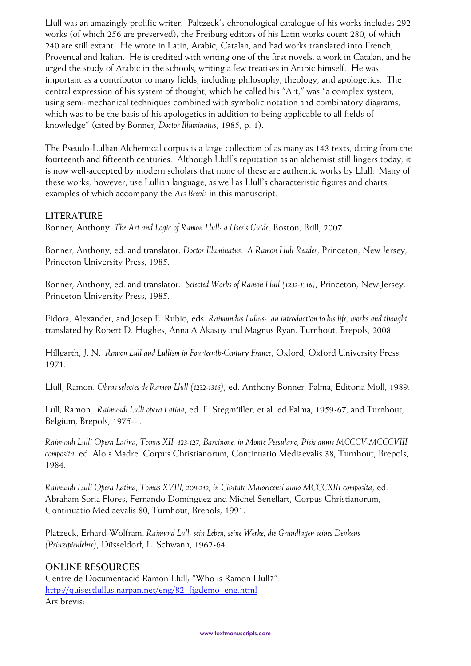Llull was an amazingly prolific writer. Paltzeck's chronological catalogue of his works includes 292 works (of which 256 are preserved); the Freiburg editors of his Latin works count 280, of which 240 are still extant. He wrote in Latin, Arabic, Catalan, and had works translated into French, Provencal and Italian. He is credited with writing one of the first novels, a work in Catalan, and he urged the study of Arabic in the schools, writing a few treatises in Arabic himself. He was important as a contributor to many fields, including philosophy, theology, and apologetics. The central expression of his system of thought, which he called his "Art," was "a complex system, using semi-mechanical techniques combined with symbolic notation and combinatory diagrams, which was to be the basis of his apologetics in addition to being applicable to all fields of knowledge" (cited by Bonner, *Doctor Illuminatus*, 1985, p. 1).

The Pseudo-Lullian Alchemical corpus is a large collection of as many as 143 texts, dating from the fourteenth and fifteenth centuries. Although Llull's reputation as an alchemist still lingers today, it is now well-accepted by modern scholars that none of these are authentic works by Llull. Many of these works, however, use Lullian language, as well as Llull's characteristic figures and charts, examples of which accompany the *Ars Brevis* in this manuscript.

### **LITERATURE**

Bonner, Anthony. *The Art and Logic of Ramon Llull: a User's Guide*, Boston, Brill, 2007.

Bonner, Anthony, ed. and translator. *Doctor Illuminatus. A Ramon Llull Reader*, Princeton, New Jersey, Princeton University Press, 1985.

Bonner, Anthony, ed. and translator. *Selected Works of Ramon Llull (1232-1316)*, Princeton, New Jersey, Princeton University Press, 1985.

Fidora, Alexander, and Josep E. Rubio, eds. *Raimundus Lullus: an introduction to his life, works and thought,*  translated by Robert D. Hughes, Anna A Akasoy and Magnus Ryan. Turnhout, Brepols, 2008.

Hillgarth, J. N. *Ramon Lull and Lullism in Fourteenth-Century France*, Oxford, Oxford University Press, 1971.

Llull, Ramon. *Obras selectes de Ramon Llull (1232-1316)*, ed. Anthony Bonner, Palma, Editoria Moll, 1989.

Lull, Ramon. *Raimundi Lulli opera Latina*, ed. F. Stegmüller, et al. ed.Palma, 1959-67, and Turnhout, Belgium, Brepols, 1975-- .

*Raimundi Lulli Opera Latina, Tomus XII, 123-127, Barcinone, in Monte Pessulano, Pisis annis MCCCV-MCCCVIII composita*, ed. Alois Madre, Corpus Christianorum, Continuatio Mediaevalis 38, Turnhout, Brepols, 1984.

*Raimundi Lulli Opera Latina, Tomus XVIII, 208-212, in Civitate Maioricensi anno MCCCXIII composita*, ed. Abraham Soria Flores, Fernando Domínguez and Michel Senellart, Corpus Christianorum, Continuatio Mediaevalis 80, Turnhout, Brepols, 1991.

Platzeck, Erhard-Wolfram. *Raimund Lull; sein Leben, seine Werke, die Grundlagen seines Denkens (Prinzipienlehre)*, Düsseldorf, L. Schwann, 1962-64.

#### **ONLINE RESOURCES**

Centre de Documentació Ramon Llull; "Who is Ramon Llull?": [http://quisestlullus.narpan.net/eng/82\\_figdemo\\_eng.html](http://quisestlullus.narpan.net/eng/82_figdemo_eng.html) Ars brevis: